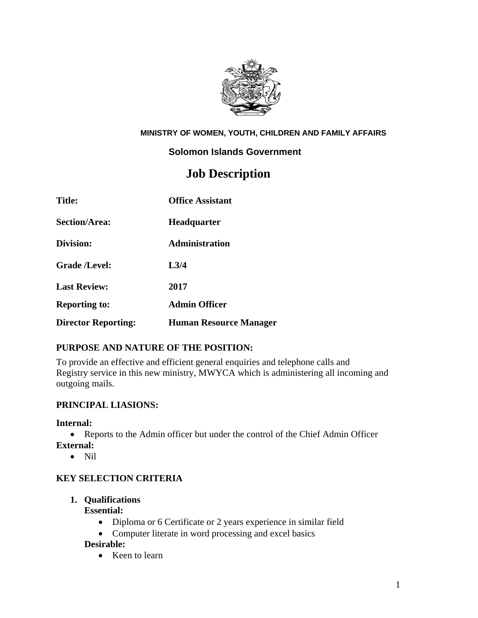

#### **MINISTRY OF WOMEN, YOUTH, CHILDREN AND FAMILY AFFAIRS**

#### **Solomon Islands Government**

# **Job Description**

| <b>Title:</b>              | <b>Office Assistant</b>       |
|----------------------------|-------------------------------|
| <b>Section/Area:</b>       | <b>Headquarter</b>            |
| Division:                  | Administration                |
| <b>Grade /Level:</b>       | L3/4                          |
| <b>Last Review:</b>        | 2017                          |
| <b>Reporting to:</b>       | <b>Admin Officer</b>          |
| <b>Director Reporting:</b> | <b>Human Resource Manager</b> |

## **PURPOSE AND NATURE OF THE POSITION:**

To provide an effective and efficient general enquiries and telephone calls and Registry service in this new ministry, MWYCA which is administering all incoming and outgoing mails.

## **PRINCIPAL LIASIONS:**

#### **Internal:**

- Reports to the Admin officer but under the control of the Chief Admin Officer **External:** 
	- Nil
	-

## **KEY SELECTION CRITERIA**

## **1. Qualifications**

#### **Essential:**

- Diploma or 6 Certificate or 2 years experience in similar field
- Computer literate in word processing and excel basics

#### **Desirable:**

• Keen to learn